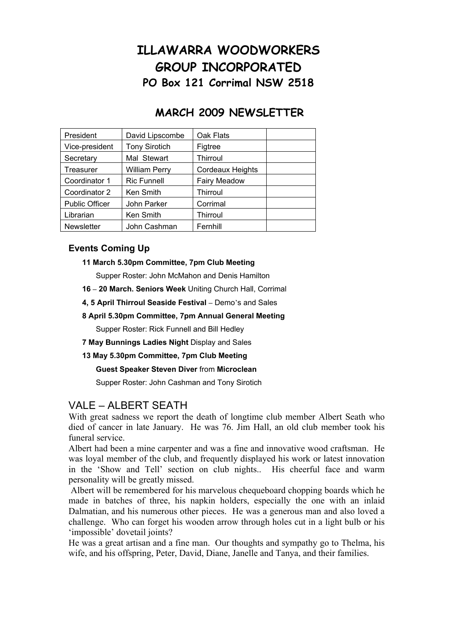# **ILLAWARRA WOODWORKERS GROUP INCORPORATED PO Box 121 Corrimal NSW 2518**

## **MARCH 2009 NEWSLETTER**

| President             | David Lipscombe      | Oak Flats               |  |
|-----------------------|----------------------|-------------------------|--|
| Vice-president        | <b>Tony Sirotich</b> | Figtree                 |  |
| Secretary             | Mal Stewart          | Thirroul                |  |
| Treasurer             | <b>William Perry</b> | <b>Cordeaux Heights</b> |  |
| Coordinator 1         | <b>Ric Funnell</b>   | <b>Fairy Meadow</b>     |  |
| Coordinator 2         | Ken Smith            | Thirroul                |  |
| <b>Public Officer</b> | John Parker          | Corrimal                |  |
| Librarian             | Ken Smith            | Thirroul                |  |
| Newsletter            | John Cashman         | Fernhill                |  |

#### **Events Coming Up**

**11 March 5.30pm Committee, 7pm Club Meeting** 

Supper Roster: John McMahon and Denis Hamilton

- **16 – 20 March. Seniors Week** Uniting Church Hall, Corrimal
- **4, 5 April Thirroul Seaside Festival –** Demo's and Sales
- **8 April 5.30pm Committee, 7pm Annual General Meeting**

Supper Roster: Rick Funnell and Bill Hedley

- **7 May Bunnings Ladies Night** Display and Sales
- **13 May 5.30pm Committee, 7pm Club Meeting**

 **Guest Speaker Steven Diver** from **Microclean** 

Supper Roster: John Cashman and Tony Sirotich

## VALE – ALBERT SEATH

With great sadness we report the death of longtime club member Albert Seath who died of cancer in late January. He was 76. Jim Hall, an old club member took his funeral service.

Albert had been a mine carpenter and was a fine and innovative wood craftsman. He was loyal member of the club, and frequently displayed his work or latest innovation in the 'Show and Tell' section on club nights.. His cheerful face and warm personality will be greatly missed.

 Albert will be remembered for his marvelous chequeboard chopping boards which he made in batches of three, his napkin holders, especially the one with an inlaid Dalmatian, and his numerous other pieces. He was a generous man and also loved a challenge. Who can forget his wooden arrow through holes cut in a light bulb or his 'impossible' dovetail joints?

He was a great artisan and a fine man. Our thoughts and sympathy go to Thelma, his wife, and his offspring, Peter, David, Diane, Janelle and Tanya, and their families.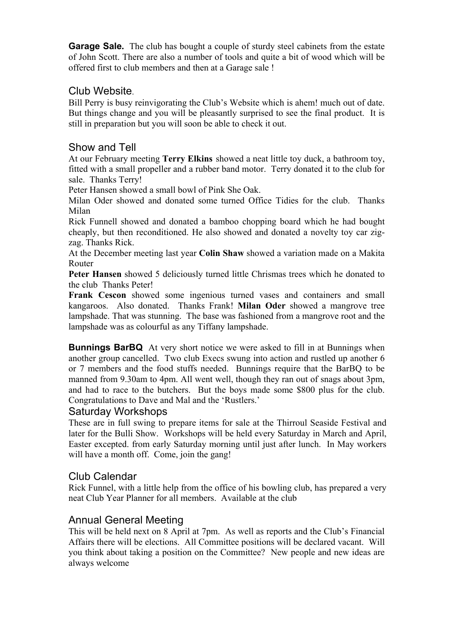**Garage Sale.** The club has bought a couple of sturdy steel cabinets from the estate of John Scott. There are also a number of tools and quite a bit of wood which will be offered first to club members and then at a Garage sale !

## Club Website.

Bill Perry is busy reinvigorating the Club's Website which is ahem! much out of date. But things change and you will be pleasantly surprised to see the final product. It is still in preparation but you will soon be able to check it out.

## Show and Tell

At our February meeting **Terry Elkins** showed a neat little toy duck, a bathroom toy, fitted with a small propeller and a rubber band motor. Terry donated it to the club for sale. Thanks Terry!

Peter Hansen showed a small bowl of Pink She Oak.

Milan Oder showed and donated some turned Office Tidies for the club. Thanks Milan

Rick Funnell showed and donated a bamboo chopping board which he had bought cheaply, but then reconditioned. He also showed and donated a novelty toy car zigzag. Thanks Rick.

At the December meeting last year **Colin Shaw** showed a variation made on a Makita Router

**Peter Hansen** showed 5 deliciously turned little Chrismas trees which he donated to the club Thanks Peter!

**Frank Cescon** showed some ingenious turned vases and containers and small kangaroos. Also donated. Thanks Frank! **Milan Oder** showed a mangrove tree lampshade. That was stunning. The base was fashioned from a mangrove root and the lampshade was as colourful as any Tiffany lampshade.

**Bunnings BarBQ** At very short notice we were asked to fill in at Bunnings when another group cancelled. Two club Execs swung into action and rustled up another 6 or 7 members and the food stuffs needed. Bunnings require that the BarBQ to be manned from 9.30am to 4pm. All went well, though they ran out of snags about 3pm, and had to race to the butchers. But the boys made some \$800 plus for the club. Congratulations to Dave and Mal and the 'Rustlers.'

#### Saturday Workshops

These are in full swing to prepare items for sale at the Thirroul Seaside Festival and later for the Bulli Show. Workshops will be held every Saturday in March and April, Easter excepted. from early Saturday morning until just after lunch. In May workers will have a month off. Come, join the gang!

## Club Calendar

Rick Funnel, with a little help from the office of his bowling club, has prepared a very neat Club Year Planner for all members. Available at the club

## Annual General Meeting

This will be held next on 8 April at 7pm. As well as reports and the Club's Financial Affairs there will be elections. All Committee positions will be declared vacant. Will you think about taking a position on the Committee? New people and new ideas are always welcome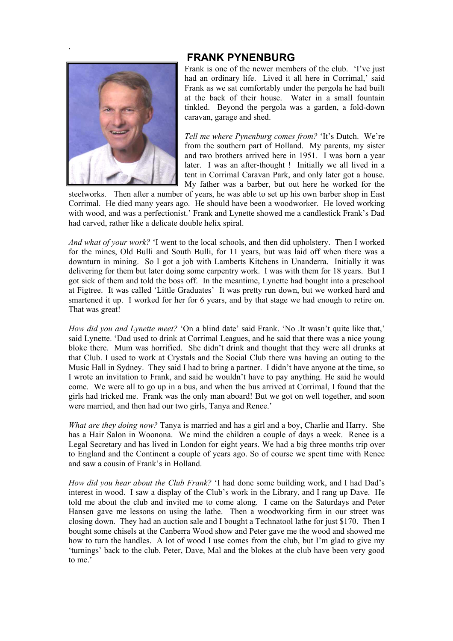#### **FRANK PYNENBURG**



.

Frank is one of the newer members of the club. 'I've just had an ordinary life. Lived it all here in Corrimal,' said Frank as we sat comfortably under the pergola he had built at the back of their house. Water in a small fountain tinkled. Beyond the pergola was a garden, a fold-down caravan, garage and shed.

*Tell me where Pynenburg comes from?* 'It's Dutch. We're from the southern part of Holland. My parents, my sister and two brothers arrived here in 1951. I was born a year later. I was an after-thought ! Initially we all lived in a tent in Corrimal Caravan Park, and only later got a house. My father was a barber, but out here he worked for the

steelworks. Then after a number of years, he was able to set up his own barber shop in East Corrimal. He died many years ago. He should have been a woodworker. He loved working with wood, and was a perfectionist.' Frank and Lynette showed me a candlestick Frank's Dad had carved, rather like a delicate double helix spiral.

*And what of your work?* 'I went to the local schools, and then did upholstery. Then I worked for the mines, Old Bulli and South Bulli, for 11 years, but was laid off when there was a downturn in mining. So I got a job with Lamberts Kitchens in Unanderra. Initially it was delivering for them but later doing some carpentry work. I was with them for 18 years. But I got sick of them and told the boss off. In the meantime, Lynette had bought into a preschool at Figtree. It was called 'Little Graduates' It was pretty run down, but we worked hard and smartened it up. I worked for her for 6 years, and by that stage we had enough to retire on. That was great!

*How did you and Lynette meet?* 'On a blind date' said Frank. 'No .It wasn't quite like that,' said Lynette. 'Dad used to drink at Corrimal Leagues, and he said that there was a nice young bloke there. Mum was horrified. She didn't drink and thought that they were all drunks at that Club. I used to work at Crystals and the Social Club there was having an outing to the Music Hall in Sydney. They said I had to bring a partner. I didn't have anyone at the time, so I wrote an invitation to Frank, and said he wouldn't have to pay anything. He said he would come. We were all to go up in a bus, and when the bus arrived at Corrimal, I found that the girls had tricked me. Frank was the only man aboard! But we got on well together, and soon were married, and then had our two girls. Tanya and Renee.'

*What are they doing now?* Tanya is married and has a girl and a boy, Charlie and Harry. She has a Hair Salon in Woonona. We mind the children a couple of days a week. Renee is a Legal Secretary and has lived in London for eight years. We had a big three months trip over to England and the Continent a couple of years ago. So of course we spent time with Renee and saw a cousin of Frank's in Holland.

*How did you hear about the Club Frank?* 'I had done some building work, and I had Dad's interest in wood. I saw a display of the Club's work in the Library, and I rang up Dave. He told me about the club and invited me to come along. I came on the Saturdays and Peter Hansen gave me lessons on using the lathe. Then a woodworking firm in our street was closing down. They had an auction sale and I bought a Technatool lathe for just \$170. Then I bought some chisels at the Canberra Wood show and Peter gave me the wood and showed me how to turn the handles. A lot of wood I use comes from the club, but I'm glad to give my 'turnings' back to the club. Peter, Dave, Mal and the blokes at the club have been very good to me.'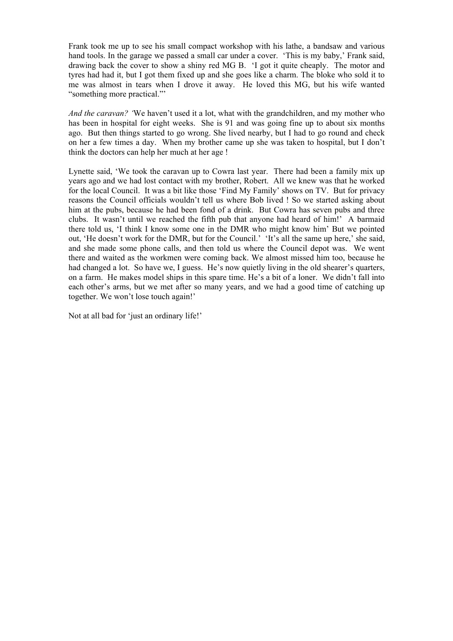Frank took me up to see his small compact workshop with his lathe, a bandsaw and various hand tools. In the garage we passed a small car under a cover. 'This is my baby,' Frank said, drawing back the cover to show a shiny red MG B. 'I got it quite cheaply. The motor and tyres had had it, but I got them fixed up and she goes like a charm. The bloke who sold it to me was almost in tears when I drove it away. He loved this MG, but his wife wanted "something more practical."'

*And the caravan? '*We haven't used it a lot, what with the grandchildren, and my mother who has been in hospital for eight weeks. She is 91 and was going fine up to about six months ago. But then things started to go wrong. She lived nearby, but I had to go round and check on her a few times a day. When my brother came up she was taken to hospital, but I don't think the doctors can help her much at her age !

Lynette said, 'We took the caravan up to Cowra last year. There had been a family mix up years ago and we had lost contact with my brother, Robert. All we knew was that he worked for the local Council. It was a bit like those 'Find My Family' shows on TV. But for privacy reasons the Council officials wouldn't tell us where Bob lived ! So we started asking about him at the pubs, because he had been fond of a drink. But Cowra has seven pubs and three clubs. It wasn't until we reached the fifth pub that anyone had heard of him!' A barmaid there told us, 'I think I know some one in the DMR who might know him' But we pointed out, 'He doesn't work for the DMR, but for the Council.' 'It's all the same up here,' she said, and she made some phone calls, and then told us where the Council depot was. We went there and waited as the workmen were coming back. We almost missed him too, because he had changed a lot. So have we, I guess. He's now quietly living in the old shearer's quarters, on a farm. He makes model ships in this spare time. He's a bit of a loner. We didn't fall into each other's arms, but we met after so many years, and we had a good time of catching up together. We won't lose touch again!'

Not at all bad for 'just an ordinary life!'